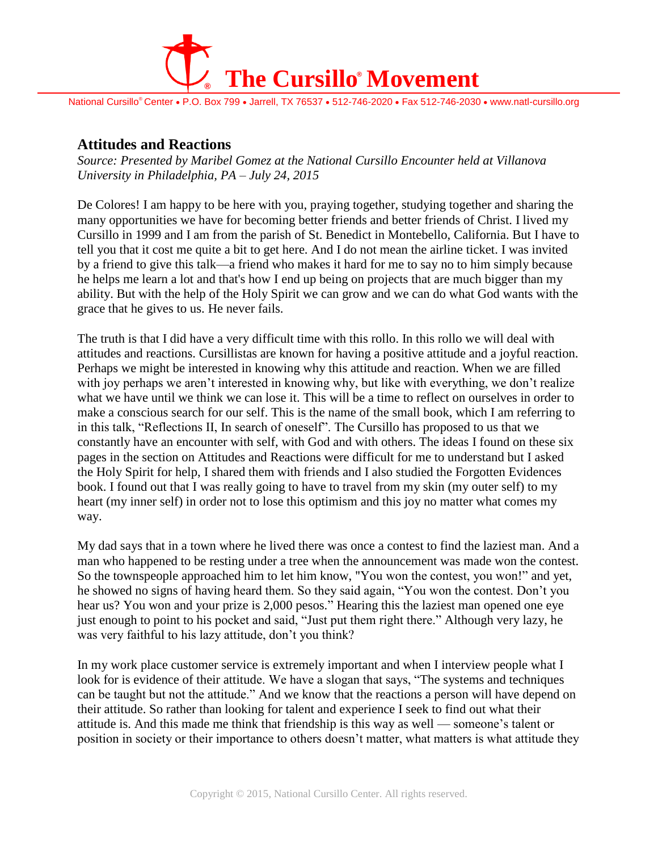

National Cursillo® Center • P.O. Box 799 • Jarrell, TX 76537 • 512-746-2020 • Fax 512-746-2030 • www.natl-cursillo.org

# **Attitudes and Reactions**

*Source: Presented by Maribel Gomez at the National Cursillo Encounter held at Villanova University in Philadelphia, PA – July 24, 2015*

De Colores! I am happy to be here with you, praying together, studying together and sharing the many opportunities we have for becoming better friends and better friends of Christ. I lived my Cursillo in 1999 and I am from the parish of St. Benedict in Montebello, California. But I have to tell you that it cost me quite a bit to get here. And I do not mean the airline ticket. I was invited by a friend to give this talk—a friend who makes it hard for me to say no to him simply because he helps me learn a lot and that's how I end up being on projects that are much bigger than my ability. But with the help of the Holy Spirit we can grow and we can do what God wants with the grace that he gives to us. He never fails.

The truth is that I did have a very difficult time with this rollo. In this rollo we will deal with attitudes and reactions. Cursillistas are known for having a positive attitude and a joyful reaction. Perhaps we might be interested in knowing why this attitude and reaction. When we are filled with joy perhaps we aren't interested in knowing why, but like with everything, we don't realize what we have until we think we can lose it. This will be a time to reflect on ourselves in order to make a conscious search for our self. This is the name of the small book, which I am referring to in this talk, "Reflections II, In search of oneself". The Cursillo has proposed to us that we constantly have an encounter with self, with God and with others. The ideas I found on these six pages in the section on Attitudes and Reactions were difficult for me to understand but I asked the Holy Spirit for help, I shared them with friends and I also studied the Forgotten Evidences book. I found out that I was really going to have to travel from my skin (my outer self) to my heart (my inner self) in order not to lose this optimism and this joy no matter what comes my way.

My dad says that in a town where he lived there was once a contest to find the laziest man. And a man who happened to be resting under a tree when the announcement was made won the contest. So the townspeople approached him to let him know, "You won the contest, you won!" and yet, he showed no signs of having heard them. So they said again, "You won the contest. Don't you hear us? You won and your prize is 2,000 pesos." Hearing this the laziest man opened one eye just enough to point to his pocket and said, "Just put them right there." Although very lazy, he was very faithful to his lazy attitude, don't you think?

In my work place customer service is extremely important and when I interview people what I look for is evidence of their attitude. We have a slogan that says, "The systems and techniques can be taught but not the attitude." And we know that the reactions a person will have depend on their attitude. So rather than looking for talent and experience I seek to find out what their attitude is. And this made me think that friendship is this way as well — someone's talent or position in society or their importance to others doesn't matter, what matters is what attitude they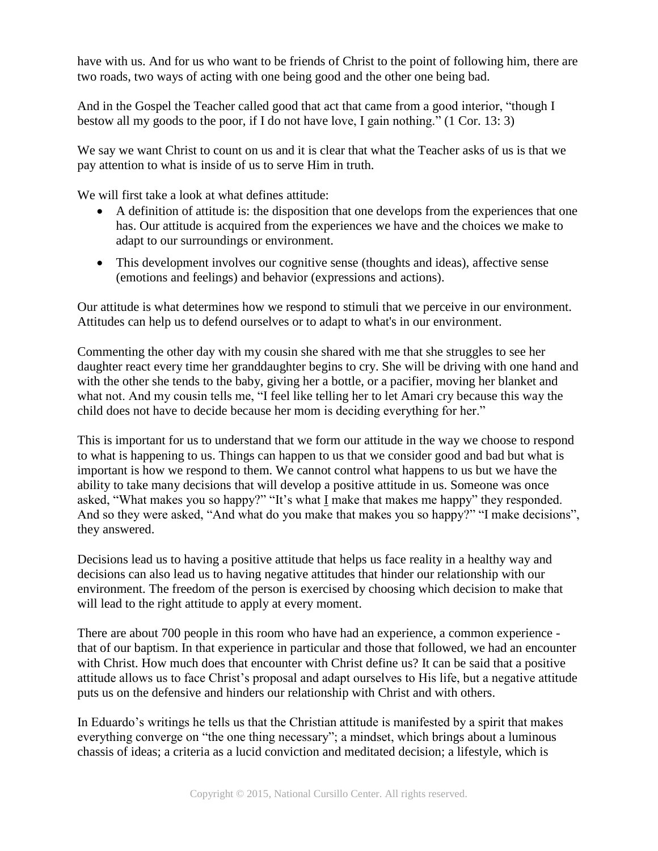have with us. And for us who want to be friends of Christ to the point of following him, there are two roads, two ways of acting with one being good and the other one being bad.

And in the Gospel the Teacher called good that act that came from a good interior, "though I bestow all my goods to the poor, if I do not have love, I gain nothing." (1 Cor. 13: 3)

We say we want Christ to count on us and it is clear that what the Teacher asks of us is that we pay attention to what is inside of us to serve Him in truth.

We will first take a look at what defines attitude:

- A definition of attitude is: the disposition that one develops from the experiences that one has. Our attitude is acquired from the experiences we have and the choices we make to adapt to our surroundings or environment.
- This development involves our cognitive sense (thoughts and ideas), affective sense (emotions and feelings) and behavior (expressions and actions).

Our attitude is what determines how we respond to stimuli that we perceive in our environment. Attitudes can help us to defend ourselves or to adapt to what's in our environment.

Commenting the other day with my cousin she shared with me that she struggles to see her daughter react every time her granddaughter begins to cry. She will be driving with one hand and with the other she tends to the baby, giving her a bottle, or a pacifier, moving her blanket and what not. And my cousin tells me, "I feel like telling her to let Amari cry because this way the child does not have to decide because her mom is deciding everything for her."

This is important for us to understand that we form our attitude in the way we choose to respond to what is happening to us. Things can happen to us that we consider good and bad but what is important is how we respond to them. We cannot control what happens to us but we have the ability to take many decisions that will develop a positive attitude in us. Someone was once asked, "What makes you so happy?" "It's what  $I$  make that makes me happy" they responded. And so they were asked, "And what do you make that makes you so happy?" "I make decisions", they answered.

Decisions lead us to having a positive attitude that helps us face reality in a healthy way and decisions can also lead us to having negative attitudes that hinder our relationship with our environment. The freedom of the person is exercised by choosing which decision to make that will lead to the right attitude to apply at every moment.

There are about 700 people in this room who have had an experience, a common experience that of our baptism. In that experience in particular and those that followed, we had an encounter with Christ. How much does that encounter with Christ define us? It can be said that a positive attitude allows us to face Christ's proposal and adapt ourselves to His life, but a negative attitude puts us on the defensive and hinders our relationship with Christ and with others.

In Eduardo's writings he tells us that the Christian attitude is manifested by a spirit that makes everything converge on "the one thing necessary"; a mindset, which brings about a luminous chassis of ideas; a criteria as a lucid conviction and meditated decision; a lifestyle, which is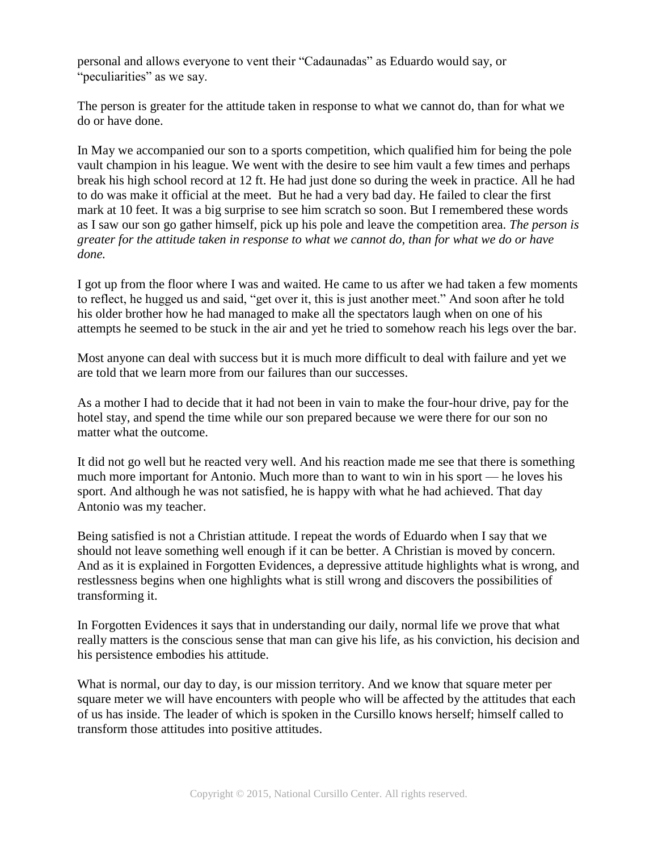personal and allows everyone to vent their "Cadaunadas" as Eduardo would say, or "peculiarities" as we say.

The person is greater for the attitude taken in response to what we cannot do, than for what we do or have done.

In May we accompanied our son to a sports competition, which qualified him for being the pole vault champion in his league. We went with the desire to see him vault a few times and perhaps break his high school record at 12 ft. He had just done so during the week in practice. All he had to do was make it official at the meet. But he had a very bad day. He failed to clear the first mark at 10 feet. It was a big surprise to see him scratch so soon. But I remembered these words as I saw our son go gather himself, pick up his pole and leave the competition area. *The person is greater for the attitude taken in response to what we cannot do, than for what we do or have done.*

I got up from the floor where I was and waited. He came to us after we had taken a few moments to reflect, he hugged us and said, "get over it, this is just another meet." And soon after he told his older brother how he had managed to make all the spectators laugh when on one of his attempts he seemed to be stuck in the air and yet he tried to somehow reach his legs over the bar.

Most anyone can deal with success but it is much more difficult to deal with failure and yet we are told that we learn more from our failures than our successes.

As a mother I had to decide that it had not been in vain to make the four-hour drive, pay for the hotel stay, and spend the time while our son prepared because we were there for our son no matter what the outcome.

It did not go well but he reacted very well. And his reaction made me see that there is something much more important for Antonio. Much more than to want to win in his sport — he loves his sport. And although he was not satisfied, he is happy with what he had achieved. That day Antonio was my teacher.

Being satisfied is not a Christian attitude. I repeat the words of Eduardo when I say that we should not leave something well enough if it can be better. A Christian is moved by concern. And as it is explained in Forgotten Evidences, a depressive attitude highlights what is wrong, and restlessness begins when one highlights what is still wrong and discovers the possibilities of transforming it.

In Forgotten Evidences it says that in understanding our daily, normal life we prove that what really matters is the conscious sense that man can give his life, as his conviction, his decision and his persistence embodies his attitude.

What is normal, our day to day, is our mission territory. And we know that square meter per square meter we will have encounters with people who will be affected by the attitudes that each of us has inside. The leader of which is spoken in the Cursillo knows herself; himself called to transform those attitudes into positive attitudes.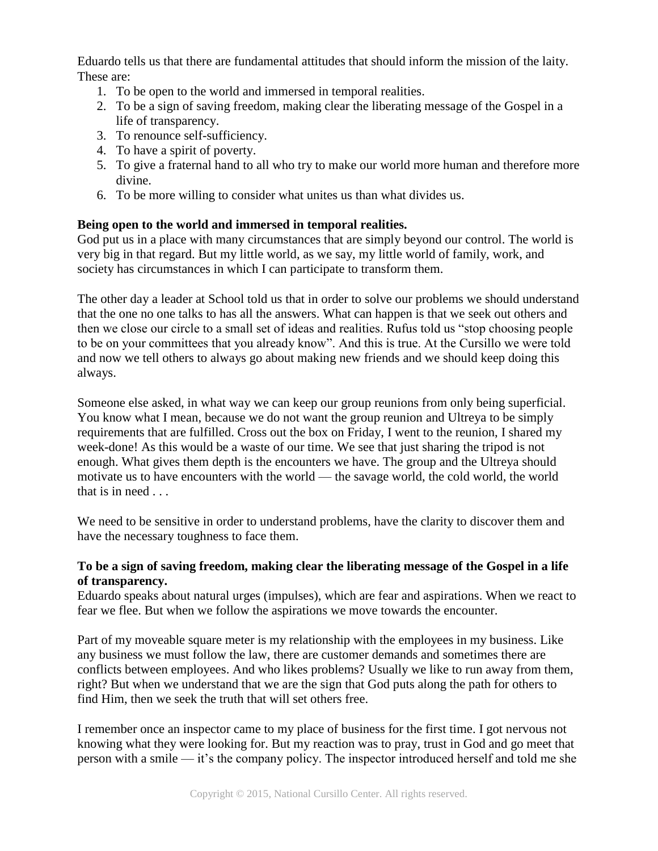Eduardo tells us that there are fundamental attitudes that should inform the mission of the laity. These are:

- 1. To be open to the world and immersed in temporal realities.
- 2. To be a sign of saving freedom, making clear the liberating message of the Gospel in a life of transparency.
- 3. To renounce self-sufficiency.
- 4. To have a spirit of poverty.
- 5. To give a fraternal hand to all who try to make our world more human and therefore more divine.
- 6. To be more willing to consider what unites us than what divides us.

# **Being open to the world and immersed in temporal realities.**

God put us in a place with many circumstances that are simply beyond our control. The world is very big in that regard. But my little world, as we say, my little world of family, work, and society has circumstances in which I can participate to transform them.

The other day a leader at School told us that in order to solve our problems we should understand that the one no one talks to has all the answers. What can happen is that we seek out others and then we close our circle to a small set of ideas and realities. Rufus told us "stop choosing people to be on your committees that you already know". And this is true. At the Cursillo we were told and now we tell others to always go about making new friends and we should keep doing this always.

Someone else asked, in what way we can keep our group reunions from only being superficial. You know what I mean, because we do not want the group reunion and Ultreya to be simply requirements that are fulfilled. Cross out the box on Friday, I went to the reunion, I shared my week-done! As this would be a waste of our time. We see that just sharing the tripod is not enough. What gives them depth is the encounters we have. The group and the Ultreya should motivate us to have encounters with the world — the savage world, the cold world, the world that is in need . . .

We need to be sensitive in order to understand problems, have the clarity to discover them and have the necessary toughness to face them.

# **To be a sign of saving freedom, making clear the liberating message of the Gospel in a life of transparency.**

Eduardo speaks about natural urges (impulses), which are fear and aspirations. When we react to fear we flee. But when we follow the aspirations we move towards the encounter.

Part of my moveable square meter is my relationship with the employees in my business. Like any business we must follow the law, there are customer demands and sometimes there are conflicts between employees. And who likes problems? Usually we like to run away from them, right? But when we understand that we are the sign that God puts along the path for others to find Him, then we seek the truth that will set others free.

I remember once an inspector came to my place of business for the first time. I got nervous not knowing what they were looking for. But my reaction was to pray, trust in God and go meet that person with a smile — it's the company policy. The inspector introduced herself and told me she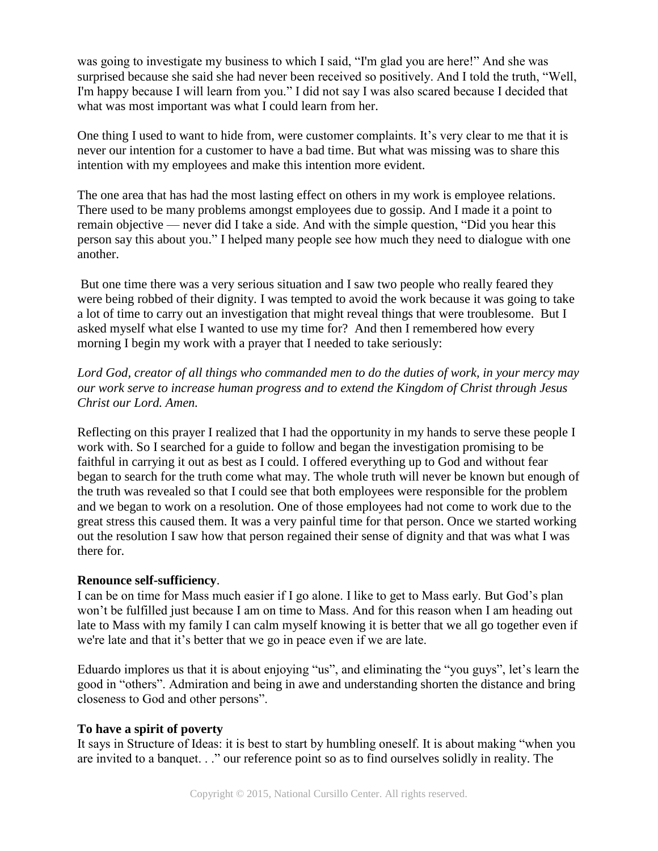was going to investigate my business to which I said, "I'm glad you are here!" And she was surprised because she said she had never been received so positively. And I told the truth, "Well, I'm happy because I will learn from you." I did not say I was also scared because I decided that what was most important was what I could learn from her.

One thing I used to want to hide from, were customer complaints. It's very clear to me that it is never our intention for a customer to have a bad time. But what was missing was to share this intention with my employees and make this intention more evident.

The one area that has had the most lasting effect on others in my work is employee relations. There used to be many problems amongst employees due to gossip. And I made it a point to remain objective — never did I take a side. And with the simple question, "Did you hear this person say this about you." I helped many people see how much they need to dialogue with one another.

But one time there was a very serious situation and I saw two people who really feared they were being robbed of their dignity. I was tempted to avoid the work because it was going to take a lot of time to carry out an investigation that might reveal things that were troublesome. But I asked myself what else I wanted to use my time for? And then I remembered how every morning I begin my work with a prayer that I needed to take seriously:

*Lord God, creator of all things who commanded men to do the duties of work, in your mercy may our work serve to increase human progress and to extend the Kingdom of Christ through Jesus Christ our Lord. Amen.*

Reflecting on this prayer I realized that I had the opportunity in my hands to serve these people I work with. So I searched for a guide to follow and began the investigation promising to be faithful in carrying it out as best as I could. I offered everything up to God and without fear began to search for the truth come what may. The whole truth will never be known but enough of the truth was revealed so that I could see that both employees were responsible for the problem and we began to work on a resolution. One of those employees had not come to work due to the great stress this caused them. It was a very painful time for that person. Once we started working out the resolution I saw how that person regained their sense of dignity and that was what I was there for.

### **Renounce self-sufficiency**.

I can be on time for Mass much easier if I go alone. I like to get to Mass early. But God's plan won't be fulfilled just because I am on time to Mass. And for this reason when I am heading out late to Mass with my family I can calm myself knowing it is better that we all go together even if we're late and that it's better that we go in peace even if we are late.

Eduardo implores us that it is about enjoying "us", and eliminating the "you guys", let's learn the good in "others". Admiration and being in awe and understanding shorten the distance and bring closeness to God and other persons".

### **To have a spirit of poverty**

It says in Structure of Ideas: it is best to start by humbling oneself. It is about making "when you are invited to a banquet. . ." our reference point so as to find ourselves solidly in reality. The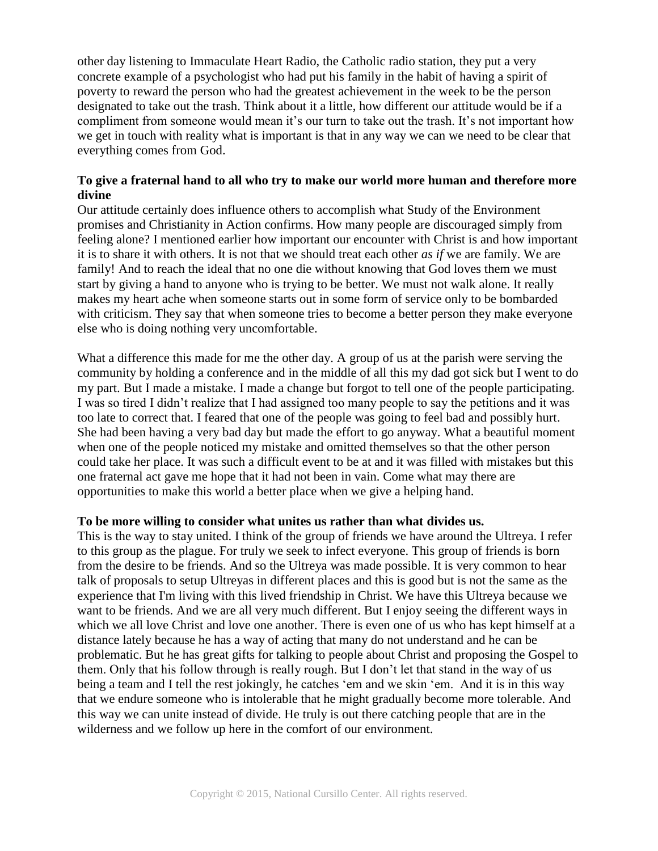other day listening to Immaculate Heart Radio, the Catholic radio station, they put a very concrete example of a psychologist who had put his family in the habit of having a spirit of poverty to reward the person who had the greatest achievement in the week to be the person designated to take out the trash. Think about it a little, how different our attitude would be if a compliment from someone would mean it's our turn to take out the trash. It's not important how we get in touch with reality what is important is that in any way we can we need to be clear that everything comes from God.

# **To give a fraternal hand to all who try to make our world more human and therefore more divine**

Our attitude certainly does influence others to accomplish what Study of the Environment promises and Christianity in Action confirms. How many people are discouraged simply from feeling alone? I mentioned earlier how important our encounter with Christ is and how important it is to share it with others. It is not that we should treat each other *as if* we are family. We are family! And to reach the ideal that no one die without knowing that God loves them we must start by giving a hand to anyone who is trying to be better. We must not walk alone. It really makes my heart ache when someone starts out in some form of service only to be bombarded with criticism. They say that when someone tries to become a better person they make everyone else who is doing nothing very uncomfortable.

What a difference this made for me the other day. A group of us at the parish were serving the community by holding a conference and in the middle of all this my dad got sick but I went to do my part. But I made a mistake. I made a change but forgot to tell one of the people participating. I was so tired I didn't realize that I had assigned too many people to say the petitions and it was too late to correct that. I feared that one of the people was going to feel bad and possibly hurt. She had been having a very bad day but made the effort to go anyway. What a beautiful moment when one of the people noticed my mistake and omitted themselves so that the other person could take her place. It was such a difficult event to be at and it was filled with mistakes but this one fraternal act gave me hope that it had not been in vain. Come what may there are opportunities to make this world a better place when we give a helping hand.

#### **To be more willing to consider what unites us rather than what divides us.**

This is the way to stay united. I think of the group of friends we have around the Ultreya. I refer to this group as the plague. For truly we seek to infect everyone. This group of friends is born from the desire to be friends. And so the Ultreya was made possible. It is very common to hear talk of proposals to setup Ultreyas in different places and this is good but is not the same as the experience that I'm living with this lived friendship in Christ. We have this Ultreya because we want to be friends. And we are all very much different. But I enjoy seeing the different ways in which we all love Christ and love one another. There is even one of us who has kept himself at a distance lately because he has a way of acting that many do not understand and he can be problematic. But he has great gifts for talking to people about Christ and proposing the Gospel to them. Only that his follow through is really rough. But I don't let that stand in the way of us being a team and I tell the rest jokingly, he catches 'em and we skin 'em. And it is in this way that we endure someone who is intolerable that he might gradually become more tolerable. And this way we can unite instead of divide. He truly is out there catching people that are in the wilderness and we follow up here in the comfort of our environment.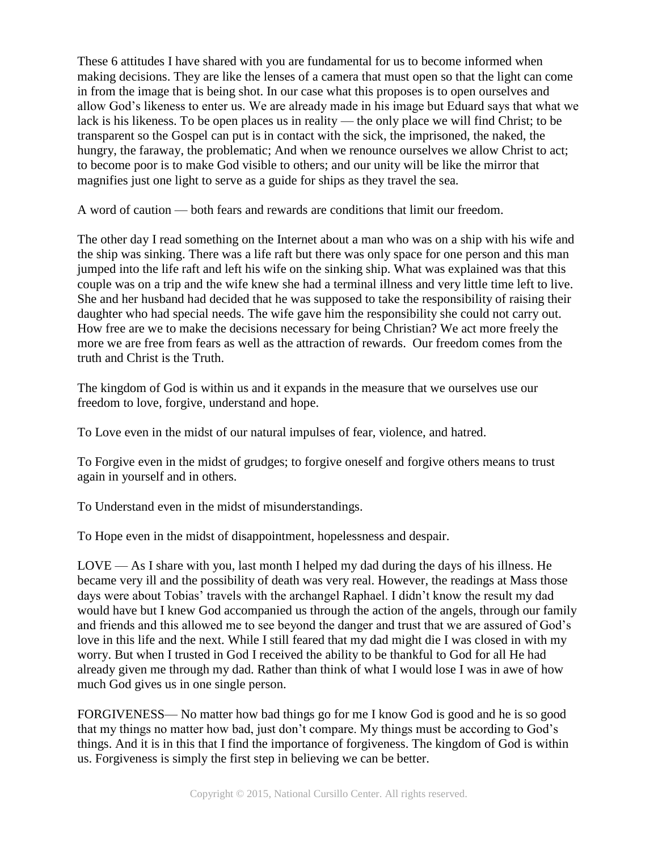These 6 attitudes I have shared with you are fundamental for us to become informed when making decisions. They are like the lenses of a camera that must open so that the light can come in from the image that is being shot. In our case what this proposes is to open ourselves and allow God's likeness to enter us. We are already made in his image but Eduard says that what we lack is his likeness. To be open places us in reality — the only place we will find Christ; to be transparent so the Gospel can put is in contact with the sick, the imprisoned, the naked, the hungry, the faraway, the problematic; And when we renounce ourselves we allow Christ to act; to become poor is to make God visible to others; and our unity will be like the mirror that magnifies just one light to serve as a guide for ships as they travel the sea.

A word of caution — both fears and rewards are conditions that limit our freedom.

The other day I read something on the Internet about a man who was on a ship with his wife and the ship was sinking. There was a life raft but there was only space for one person and this man jumped into the life raft and left his wife on the sinking ship. What was explained was that this couple was on a trip and the wife knew she had a terminal illness and very little time left to live. She and her husband had decided that he was supposed to take the responsibility of raising their daughter who had special needs. The wife gave him the responsibility she could not carry out. How free are we to make the decisions necessary for being Christian? We act more freely the more we are free from fears as well as the attraction of rewards. Our freedom comes from the truth and Christ is the Truth.

The kingdom of God is within us and it expands in the measure that we ourselves use our freedom to love, forgive, understand and hope.

To Love even in the midst of our natural impulses of fear, violence, and hatred.

To Forgive even in the midst of grudges; to forgive oneself and forgive others means to trust again in yourself and in others.

To Understand even in the midst of misunderstandings.

To Hope even in the midst of disappointment, hopelessness and despair.

LOVE — As I share with you, last month I helped my dad during the days of his illness. He became very ill and the possibility of death was very real. However, the readings at Mass those days were about Tobias' travels with the archangel Raphael. I didn't know the result my dad would have but I knew God accompanied us through the action of the angels, through our family and friends and this allowed me to see beyond the danger and trust that we are assured of God's love in this life and the next. While I still feared that my dad might die I was closed in with my worry. But when I trusted in God I received the ability to be thankful to God for all He had already given me through my dad. Rather than think of what I would lose I was in awe of how much God gives us in one single person.

FORGIVENESS— No matter how bad things go for me I know God is good and he is so good that my things no matter how bad, just don't compare. My things must be according to God's things. And it is in this that I find the importance of forgiveness. The kingdom of God is within us. Forgiveness is simply the first step in believing we can be better.